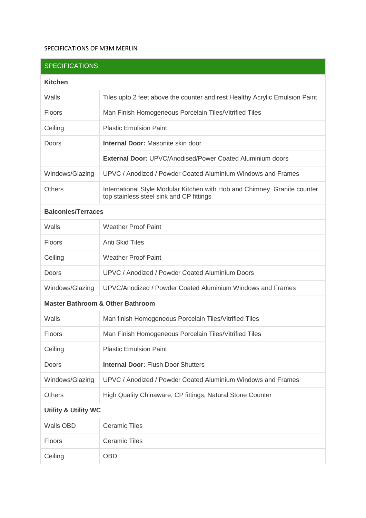## SPECIFICATIONS OF M3M MERLIN

| <b>SPECIFICATIONS</b>                       |                                                                                                                       |
|---------------------------------------------|-----------------------------------------------------------------------------------------------------------------------|
| <b>Kitchen</b>                              |                                                                                                                       |
| Walls                                       | Tiles upto 2 feet above the counter and rest Healthy Acrylic Emulsion Paint                                           |
| <b>Floors</b>                               | Man Finish Homogeneous Porcelain Tiles/Vitrified Tiles                                                                |
| Ceiling                                     | <b>Plastic Emulsion Paint</b>                                                                                         |
| Doors                                       | <b>Internal Door: Masonite skin door</b>                                                                              |
|                                             | <b>External Door: UPVC/Anodised/Power Coated Aluminium doors</b>                                                      |
| Windows/Glazing                             | UPVC / Anodized / Powder Coated Aluminium Windows and Frames                                                          |
| <b>Others</b>                               | International Style Modular Kitchen with Hob and Chimney, Granite counter<br>top stainless steel sink and CP fittings |
| <b>Balconies/Terraces</b>                   |                                                                                                                       |
| Walls                                       | <b>Weather Proof Paint</b>                                                                                            |
| Floors                                      | <b>Anti Skid Tiles</b>                                                                                                |
| Ceiling                                     | <b>Weather Proof Paint</b>                                                                                            |
| Doors                                       | <b>UPVC / Anodized / Powder Coated Aluminium Doors</b>                                                                |
| Windows/Glazing                             | UPVC/Anodized / Powder Coated Aluminium Windows and Frames                                                            |
| <b>Master Bathroom &amp; Other Bathroom</b> |                                                                                                                       |
| Walls                                       | Man finish Homogeneous Porcelain Tiles/Vitrified Tiles                                                                |
| Floors                                      | Man Finish Homogeneous Porcelain Tiles/Vitrified Tiles                                                                |
| Ceiling                                     | <b>Plastic Emulsion Paint</b>                                                                                         |
| <b>Doors</b>                                | <b>Internal Door: Flush Door Shutters</b>                                                                             |
| Windows/Glazing                             | UPVC / Anodized / Powder Coated Aluminium Windows and Frames                                                          |
| <b>Others</b>                               | High Quality Chinaware, CP fittings, Natural Stone Counter                                                            |
| <b>Utility &amp; Utility WC</b>             |                                                                                                                       |
| Walls OBD                                   | <b>Ceramic Tiles</b>                                                                                                  |
| Floors                                      | <b>Ceramic Tiles</b>                                                                                                  |
| Ceiling                                     | <b>OBD</b>                                                                                                            |